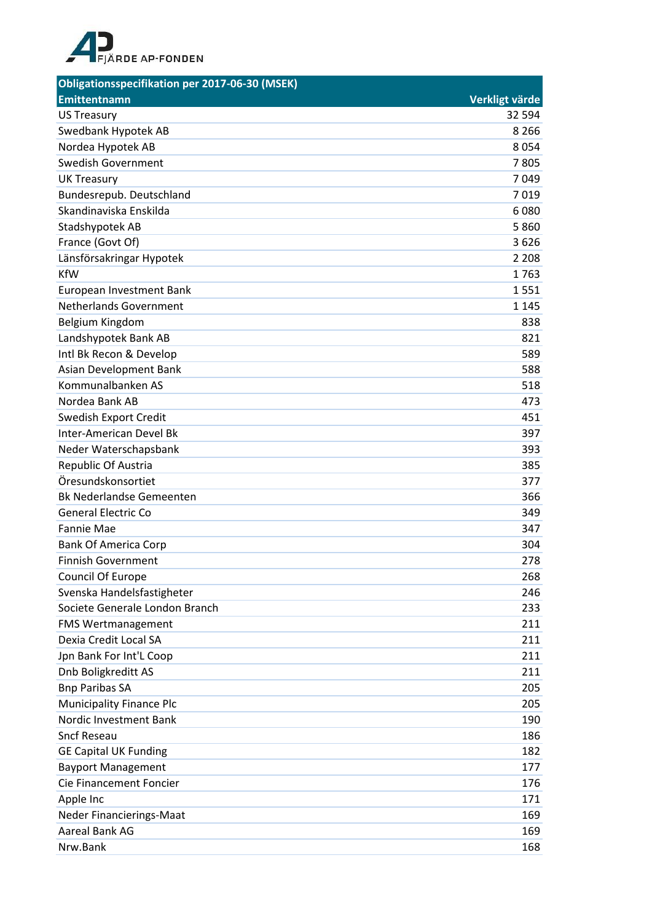

| Obligationsspecifikation per 2017-06-30 (MSEK) |                |
|------------------------------------------------|----------------|
| <b>Emittentnamn</b>                            | Verkligt värde |
| <b>US Treasury</b>                             | 32 594         |
| Swedbank Hypotek AB                            | 8 2 6 6        |
| Nordea Hypotek AB                              | 8054           |
| <b>Swedish Government</b>                      | 7805           |
| <b>UK Treasury</b>                             | 7049           |
| Bundesrepub. Deutschland                       | 7019           |
| Skandinaviska Enskilda                         | 6080           |
| Stadshypotek AB                                | 5860           |
| France (Govt Of)                               | 3626           |
| Länsförsakringar Hypotek                       | 2 2 0 8        |
| <b>KfW</b>                                     | 1763           |
| European Investment Bank                       | 1551           |
| <b>Netherlands Government</b>                  | 1 1 4 5        |
| Belgium Kingdom                                | 838            |
| Landshypotek Bank AB                           | 821            |
| Intl Bk Recon & Develop                        | 589            |
| Asian Development Bank                         | 588            |
| Kommunalbanken AS                              | 518            |
| Nordea Bank AB                                 | 473            |
| Swedish Export Credit                          | 451            |
| <b>Inter-American Devel Bk</b>                 | 397            |
| Neder Waterschapsbank                          | 393            |
| Republic Of Austria                            | 385            |
| Öresundskonsortiet                             | 377            |
| <b>Bk Nederlandse Gemeenten</b>                | 366            |
| <b>General Electric Co</b>                     | 349            |
| <b>Fannie Mae</b>                              | 347            |
| <b>Bank Of America Corp</b>                    | 304            |
| <b>Finnish Government</b>                      | 278            |
| Council Of Europe                              | 268            |
| Svenska Handelsfastigheter                     | 246            |
| Societe Generale London Branch                 | 233            |
| FMS Wertmanagement                             | 211            |
| Dexia Credit Local SA                          | 211            |
| Jpn Bank For Int'L Coop                        | 211            |
| Dnb Boligkreditt AS                            | 211            |
| <b>Bnp Paribas SA</b>                          | 205            |
| <b>Municipality Finance Plc</b>                | 205            |
| Nordic Investment Bank                         | 190            |
| <b>Sncf Reseau</b>                             | 186            |
| <b>GE Capital UK Funding</b>                   | 182            |
| <b>Bayport Management</b>                      | 177            |
| Cie Financement Foncier                        | 176            |
| Apple Inc                                      | 171            |
| Neder Financierings-Maat                       | 169            |
| Aareal Bank AG                                 | 169            |
| Nrw.Bank                                       | 168            |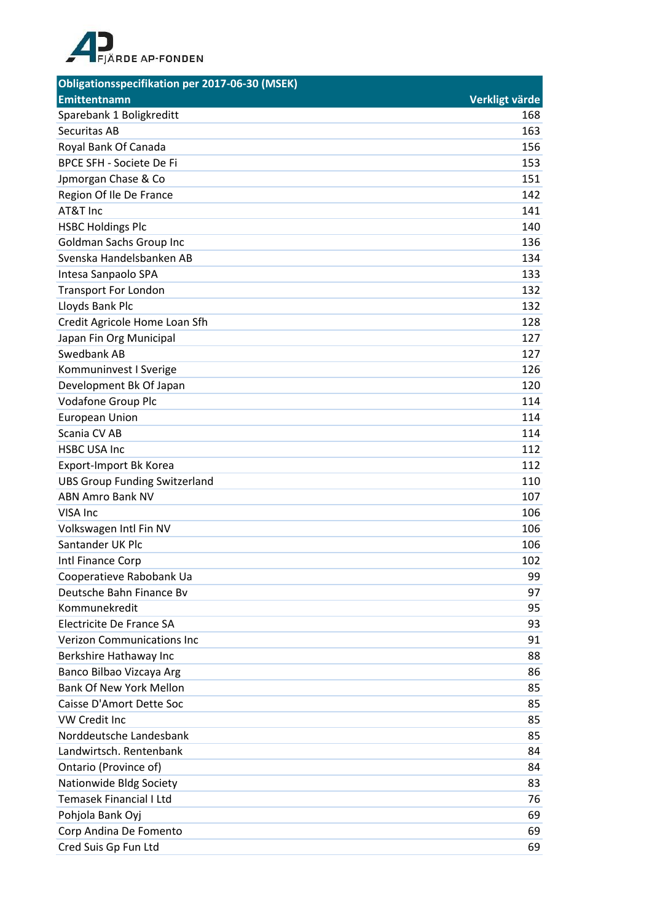

| <b>Obligationsspecifikation per 2017-06-30 (MSEK)</b> |                |
|-------------------------------------------------------|----------------|
| <b>Emittentnamn</b>                                   | Verkligt värde |
| Sparebank 1 Boligkreditt                              | 168            |
| Securitas AB                                          | 163            |
| Royal Bank Of Canada                                  | 156            |
| <b>BPCE SFH - Societe De Fi</b>                       | 153            |
| Jpmorgan Chase & Co                                   | 151            |
| Region Of Ile De France                               | 142            |
| AT&T Inc                                              | 141            |
| <b>HSBC Holdings Plc</b>                              | 140            |
| <b>Goldman Sachs Group Inc</b>                        | 136            |
| Svenska Handelsbanken AB                              | 134            |
| Intesa Sanpaolo SPA                                   | 133            |
| <b>Transport For London</b>                           | 132            |
| Lloyds Bank Plc                                       | 132            |
| Credit Agricole Home Loan Sfh                         | 128            |
| Japan Fin Org Municipal                               | 127            |
| Swedbank AB                                           | 127            |
| Kommuninvest I Sverige                                | 126            |
| Development Bk Of Japan                               | 120            |
| <b>Vodafone Group Plc</b>                             | 114            |
| <b>European Union</b>                                 | 114            |
| Scania CV AB                                          | 114            |
| <b>HSBC USA Inc</b>                                   | 112            |
| Export-Import Bk Korea                                | 112            |
| <b>UBS Group Funding Switzerland</b>                  | 110            |
| <b>ABN Amro Bank NV</b>                               | 107            |
| VISA Inc                                              | 106            |
| Volkswagen Intl Fin NV                                | 106            |
| Santander UK Plc                                      | 106            |
| Intl Finance Corp                                     | 102            |
| Cooperatieve Rabobank Ua                              | 99             |
| Deutsche Bahn Finance By                              | 97             |
| Kommunekredit                                         | 95             |
| Electricite De France SA                              | 93             |
| <b>Verizon Communications Inc.</b>                    | 91             |
| Berkshire Hathaway Inc                                | 88             |
| Banco Bilbao Vizcaya Arg                              | 86             |
| <b>Bank Of New York Mellon</b>                        | 85             |
| Caisse D'Amort Dette Soc                              | 85             |
| VW Credit Inc                                         | 85             |
| Norddeutsche Landesbank                               | 85             |
| Landwirtsch. Rentenbank                               | 84             |
| Ontario (Province of)                                 | 84             |
| Nationwide Bldg Society                               | 83             |
| Temasek Financial I Ltd                               | 76             |
| Pohjola Bank Oyj                                      | 69             |
| Corp Andina De Fomento                                | 69             |
| Cred Suis Gp Fun Ltd                                  | 69             |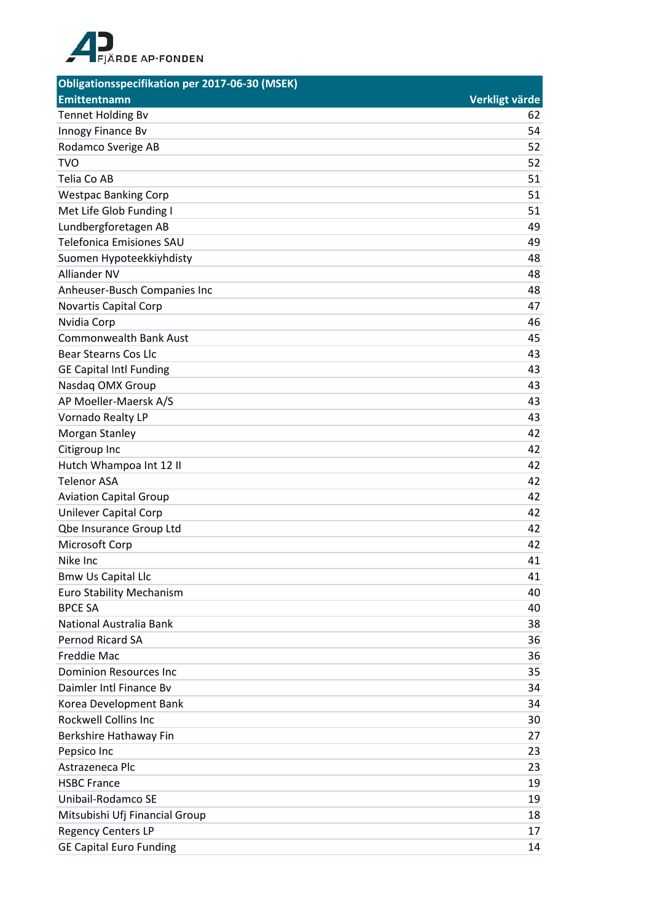

| <b>Obligationsspecifikation per 2017-06-30 (MSEK)</b> |                |
|-------------------------------------------------------|----------------|
| <b>Emittentnamn</b>                                   | Verkligt värde |
| <b>Tennet Holding Bv</b>                              | 62             |
| Innogy Finance Bv                                     | 54             |
| Rodamco Sverige AB                                    | 52             |
| <b>TVO</b>                                            | 52             |
| Telia Co AB                                           | 51             |
| <b>Westpac Banking Corp</b>                           | 51             |
| Met Life Glob Funding I                               | 51             |
| Lundbergforetagen AB                                  | 49             |
| <b>Telefonica Emisiones SAU</b>                       | 49             |
| Suomen Hypoteekkiyhdisty                              | 48             |
| <b>Alliander NV</b>                                   | 48             |
| Anheuser-Busch Companies Inc                          | 48             |
| Novartis Capital Corp                                 | 47             |
| Nvidia Corp                                           | 46             |
| <b>Commonwealth Bank Aust</b>                         | 45             |
| <b>Bear Stearns Cos Llc</b>                           | 43             |
| <b>GE Capital Intl Funding</b>                        | 43             |
| Nasdaq OMX Group                                      | 43             |
| AP Moeller-Maersk A/S                                 | 43             |
| Vornado Realty LP                                     | 43             |
| Morgan Stanley                                        | 42             |
| Citigroup Inc                                         | 42             |
| Hutch Whampoa Int 12 II                               | 42             |
| <b>Telenor ASA</b>                                    | 42             |
| <b>Aviation Capital Group</b>                         | 42             |
| Unilever Capital Corp                                 | 42             |
| <b>Qbe Insurance Group Ltd</b>                        | 42             |
| Microsoft Corp                                        | 42             |
| Nike Inc                                              | 41             |
| <b>Bmw Us Capital Llc</b>                             | 41             |
| <b>Euro Stability Mechanism</b>                       | 40             |
| <b>BPCE SA</b>                                        | 40             |
| National Australia Bank                               | 38             |
| Pernod Ricard SA                                      | 36             |
| <b>Freddie Mac</b>                                    | 36             |
| <b>Dominion Resources Inc</b>                         | 35             |
| Daimler Intl Finance Bv                               | 34             |
| Korea Development Bank                                | 34             |
| <b>Rockwell Collins Inc</b>                           | 30             |
| Berkshire Hathaway Fin                                | 27             |
| Pepsico Inc                                           | 23             |
| Astrazeneca Plc                                       | 23             |
| <b>HSBC France</b>                                    | 19             |
| Unibail-Rodamco SE                                    | 19             |
| Mitsubishi Ufj Financial Group                        | 18             |
| <b>Regency Centers LP</b>                             | 17             |
| <b>GE Capital Euro Funding</b>                        | 14             |